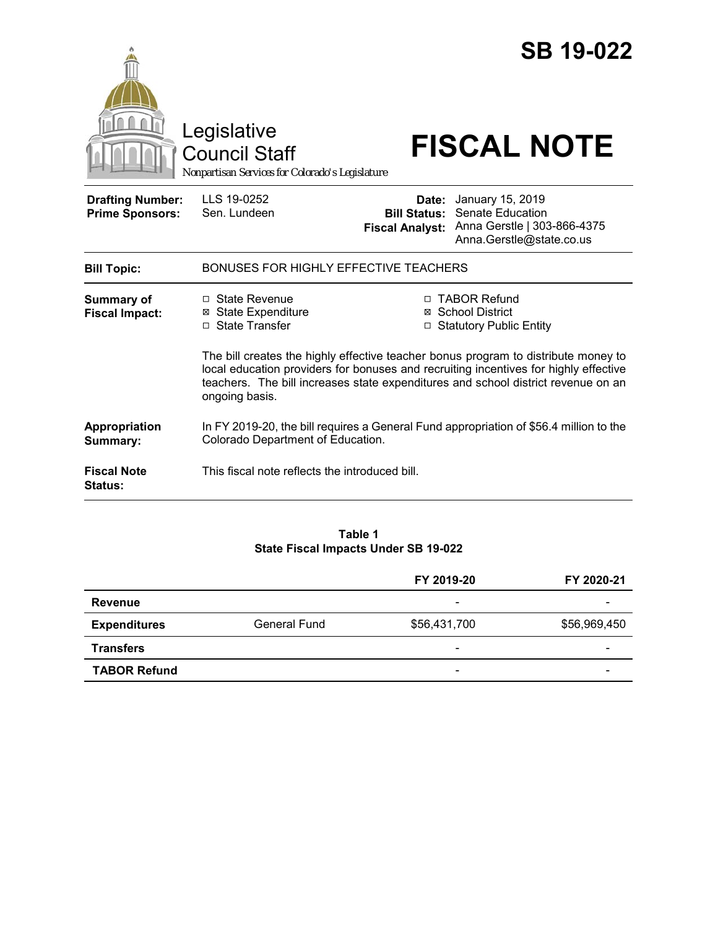|                                                                   | Legislative<br><b>Council Staff</b><br>Nonpartisan Services for Colorado's Legislature                |                                 | <b>SB 19-022</b><br><b>FISCAL NOTE</b>                                                                                                                                                                                                                                                                                              |  |  |
|-------------------------------------------------------------------|-------------------------------------------------------------------------------------------------------|---------------------------------|-------------------------------------------------------------------------------------------------------------------------------------------------------------------------------------------------------------------------------------------------------------------------------------------------------------------------------------|--|--|
| <b>Drafting Number:</b><br><b>Prime Sponsors:</b>                 | LLS 19-0252<br>Sen. Lundeen                                                                           | Date:<br><b>Fiscal Analyst:</b> | January 15, 2019<br><b>Bill Status: Senate Education</b><br>Anna Gerstle   303-866-4375<br>Anna.Gerstle@state.co.us                                                                                                                                                                                                                 |  |  |
| <b>Bill Topic:</b>                                                | BONUSES FOR HIGHLY EFFECTIVE TEACHERS                                                                 |                                 |                                                                                                                                                                                                                                                                                                                                     |  |  |
| Summary of<br><b>Fiscal Impact:</b>                               | $\Box$ State Revenue<br><b>⊠</b> State Expenditure<br>□ State Transfer                                |                                 | □ TABOR Refund<br>⊠ School District<br>□ Statutory Public Entity<br>The bill creates the highly effective teacher bonus program to distribute money to<br>local education providers for bonuses and recruiting incentives for highly effective<br>teachers. The bill increases state expenditures and school district revenue on an |  |  |
| Appropriation<br>Summary:<br><b>Fiscal Note</b><br><b>Status:</b> | ongoing basis.<br>Colorado Department of Education.<br>This fiscal note reflects the introduced bill. |                                 | In FY 2019-20, the bill requires a General Fund appropriation of \$56.4 million to the                                                                                                                                                                                                                                              |  |  |

## **Table 1 State Fiscal Impacts Under SB 19-022**

|                     |              | FY 2019-20               | FY 2020-21   |
|---------------------|--------------|--------------------------|--------------|
| Revenue             |              | $\overline{\phantom{0}}$ |              |
| <b>Expenditures</b> | General Fund | \$56,431,700             | \$56,969,450 |
| <b>Transfers</b>    |              | $\overline{\phantom{0}}$ |              |
| <b>TABOR Refund</b> |              | $\overline{\phantom{a}}$ |              |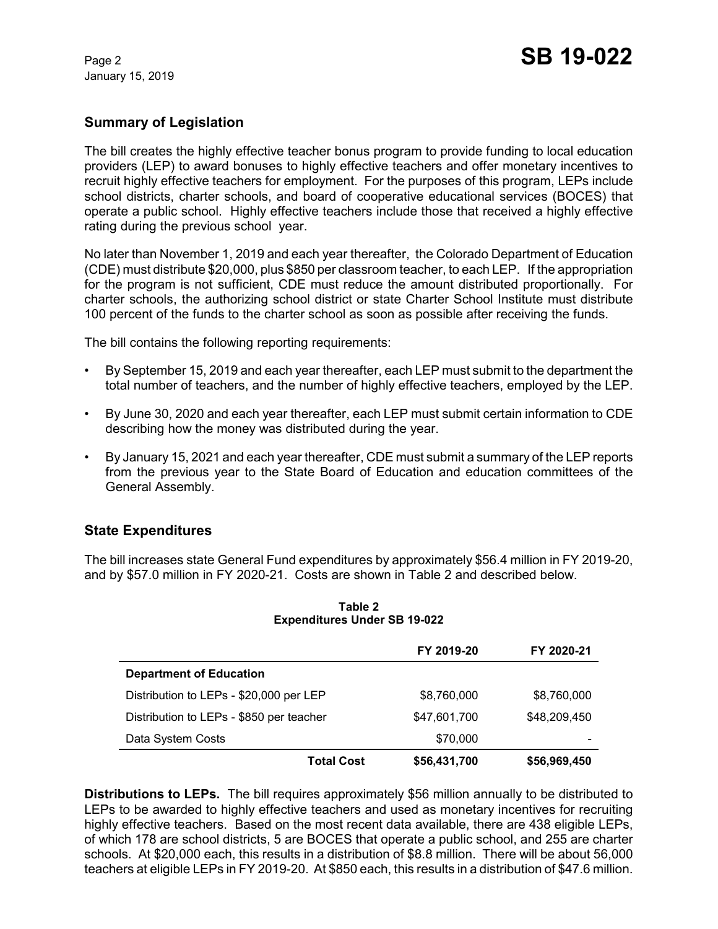January 15, 2019

# **Summary of Legislation**

The bill creates the highly effective teacher bonus program to provide funding to local education providers (LEP) to award bonuses to highly effective teachers and offer monetary incentives to recruit highly effective teachers for employment. For the purposes of this program, LEPs include school districts, charter schools, and board of cooperative educational services (BOCES) that operate a public school. Highly effective teachers include those that received a highly effective rating during the previous school year.

No later than November 1, 2019 and each year thereafter, the Colorado Department of Education (CDE) must distribute \$20,000, plus \$850 per classroom teacher, to each LEP. If the appropriation for the program is not sufficient, CDE must reduce the amount distributed proportionally. For charter schools, the authorizing school district or state Charter School Institute must distribute 100 percent of the funds to the charter school as soon as possible after receiving the funds.

The bill contains the following reporting requirements:

- By September 15, 2019 and each year thereafter, each LEP must submit to the department the total number of teachers, and the number of highly effective teachers, employed by the LEP.
- By June 30, 2020 and each year thereafter, each LEP must submit certain information to CDE describing how the money was distributed during the year.
- By January 15, 2021 and each year thereafter, CDE must submit a summary of the LEP reports from the previous year to the State Board of Education and education committees of the General Assembly.

## **State Expenditures**

The bill increases state General Fund expenditures by approximately \$56.4 million in FY 2019-20, and by \$57.0 million in FY 2020-21. Costs are shown in Table 2 and described below.

|                                          |                   | FY 2019-20   | FY 2020-21   |
|------------------------------------------|-------------------|--------------|--------------|
| <b>Department of Education</b>           |                   |              |              |
| Distribution to LEPs - \$20,000 per LEP  |                   | \$8,760,000  | \$8,760,000  |
| Distribution to LEPs - \$850 per teacher |                   | \$47,601,700 | \$48,209,450 |
| Data System Costs                        |                   | \$70,000     |              |
|                                          | <b>Total Cost</b> | \$56,431,700 | \$56,969,450 |

#### **Table 2 Expenditures Under SB 19-022**

**Distributions to LEPs.** The bill requires approximately \$56 million annually to be distributed to LEPs to be awarded to highly effective teachers and used as monetary incentives for recruiting highly effective teachers. Based on the most recent data available, there are 438 eligible LEPs, of which 178 are school districts, 5 are BOCES that operate a public school, and 255 are charter schools. At \$20,000 each, this results in a distribution of \$8.8 million. There will be about 56,000 teachers at eligible LEPs in FY 2019-20. At \$850 each, this results in a distribution of \$47.6 million.